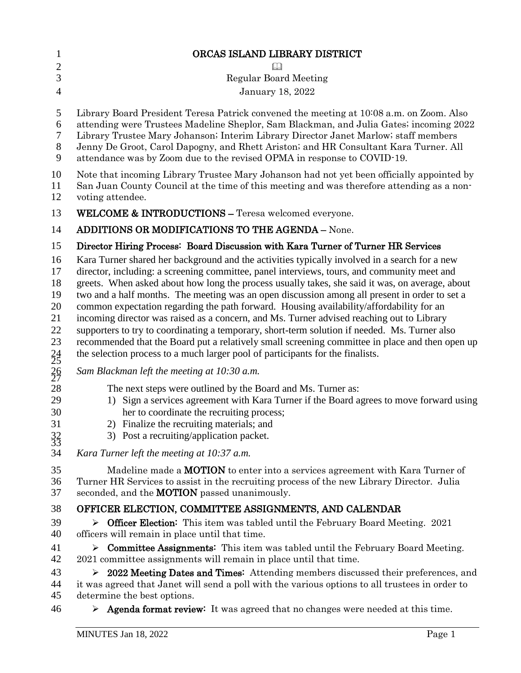| $\mathbf{1}$                                                    | ORCAS ISLAND LIBRARY DISTRICT                                                                                                                                                                                                                                                                                                                                                                                                                                                                                                                                                                                                                                                                                                                                                                                                                                                   |
|-----------------------------------------------------------------|---------------------------------------------------------------------------------------------------------------------------------------------------------------------------------------------------------------------------------------------------------------------------------------------------------------------------------------------------------------------------------------------------------------------------------------------------------------------------------------------------------------------------------------------------------------------------------------------------------------------------------------------------------------------------------------------------------------------------------------------------------------------------------------------------------------------------------------------------------------------------------|
| $\mathbf{2}$                                                    |                                                                                                                                                                                                                                                                                                                                                                                                                                                                                                                                                                                                                                                                                                                                                                                                                                                                                 |
| 3                                                               | <b>Regular Board Meeting</b>                                                                                                                                                                                                                                                                                                                                                                                                                                                                                                                                                                                                                                                                                                                                                                                                                                                    |
| $\overline{4}$                                                  | January 18, 2022                                                                                                                                                                                                                                                                                                                                                                                                                                                                                                                                                                                                                                                                                                                                                                                                                                                                |
| 5<br>6<br>7<br>$8\phantom{1}$<br>9                              | Library Board President Teresa Patrick convened the meeting at 10:08 a.m. on Zoom. Also<br>attending were Trustees Madeline Sheplor, Sam Blackman, and Julia Gates; incoming 2022<br>Library Trustee Mary Johanson; Interim Library Director Janet Marlow; staff members<br>Jenny De Groot, Carol Dapogny, and Rhett Ariston; and HR Consultant Kara Turner. All<br>attendance was by Zoom due to the revised OPMA in response to COVID-19.                                                                                                                                                                                                                                                                                                                                                                                                                                     |
| 10<br>11<br>12                                                  | Note that incoming Library Trustee Mary Johanson had not yet been officially appointed by<br>San Juan County Council at the time of this meeting and was therefore attending as a non-<br>voting attendee.                                                                                                                                                                                                                                                                                                                                                                                                                                                                                                                                                                                                                                                                      |
| 13                                                              | <b>WELCOME &amp; INTRODUCTIONS - Teresa welcomed everyone.</b>                                                                                                                                                                                                                                                                                                                                                                                                                                                                                                                                                                                                                                                                                                                                                                                                                  |
| 14                                                              | ADDITIONS OR MODIFICATIONS TO THE AGENDA - None.                                                                                                                                                                                                                                                                                                                                                                                                                                                                                                                                                                                                                                                                                                                                                                                                                                |
| 15                                                              | Director Hiring Process: Board Discussion with Kara Turner of Turner HR Services                                                                                                                                                                                                                                                                                                                                                                                                                                                                                                                                                                                                                                                                                                                                                                                                |
| 16<br>17<br>18<br>19<br>20<br>21<br>22<br>23<br>$\frac{24}{25}$ | Kara Turner shared her background and the activities typically involved in a search for a new<br>director, including: a screening committee, panel interviews, tours, and community meet and<br>greets. When asked about how long the process usually takes, she said it was, on average, about<br>two and a half months. The meeting was an open discussion among all present in order to set a<br>common expectation regarding the path forward. Housing availability/affordability for an<br>incoming director was raised as a concern, and Ms. Turner advised reaching out to Library<br>supporters to try to coordinating a temporary, short-term solution if needed. Ms. Turner also<br>recommended that the Board put a relatively small screening committee in place and then open up<br>the selection process to a much larger pool of participants for the finalists. |
| 26<br>27                                                        | Sam Blackman left the meeting at 10:30 a.m.                                                                                                                                                                                                                                                                                                                                                                                                                                                                                                                                                                                                                                                                                                                                                                                                                                     |
| 28<br>29<br>30<br>31<br>$\frac{32}{33}$                         | The next steps were outlined by the Board and Ms. Turner as:<br>1) Sign a services agreement with Kara Turner if the Board agrees to move forward using<br>her to coordinate the recruiting process;<br>2) Finalize the recruiting materials; and<br>3) Post a recruiting/application packet.                                                                                                                                                                                                                                                                                                                                                                                                                                                                                                                                                                                   |
| 34                                                              | Kara Turner left the meeting at 10:37 a.m.                                                                                                                                                                                                                                                                                                                                                                                                                                                                                                                                                                                                                                                                                                                                                                                                                                      |
| 35<br>36<br>37                                                  | Madeline made a <b>MOTION</b> to enter into a services agreement with Kara Turner of<br>Turner HR Services to assist in the recruiting process of the new Library Director. Julia<br>seconded, and the <b>MOTION</b> passed unanimously.                                                                                                                                                                                                                                                                                                                                                                                                                                                                                                                                                                                                                                        |
| 38                                                              | OFFICER ELECTION, COMMITTEE ASSIGNMENTS, AND CALENDAR                                                                                                                                                                                                                                                                                                                                                                                                                                                                                                                                                                                                                                                                                                                                                                                                                           |
| 39<br>40                                                        | Officer Election: This item was tabled until the February Board Meeting. 2021<br>➤<br>officers will remain in place until that time.                                                                                                                                                                                                                                                                                                                                                                                                                                                                                                                                                                                                                                                                                                                                            |
| 41<br>42                                                        | <b>Committee Assignments:</b> This item was tabled until the February Board Meeting.<br>➤<br>2021 committee assignments will remain in place until that time.                                                                                                                                                                                                                                                                                                                                                                                                                                                                                                                                                                                                                                                                                                                   |
| 43<br>44<br>45                                                  | 2022 Meeting Dates and Times: Attending members discussed their preferences, and<br>➤<br>it was agreed that Janet will send a poll with the various options to all trustees in order to<br>determine the best options.                                                                                                                                                                                                                                                                                                                                                                                                                                                                                                                                                                                                                                                          |
| 46                                                              | Agenda format review: It was agreed that no changes were needed at this time.<br>➤                                                                                                                                                                                                                                                                                                                                                                                                                                                                                                                                                                                                                                                                                                                                                                                              |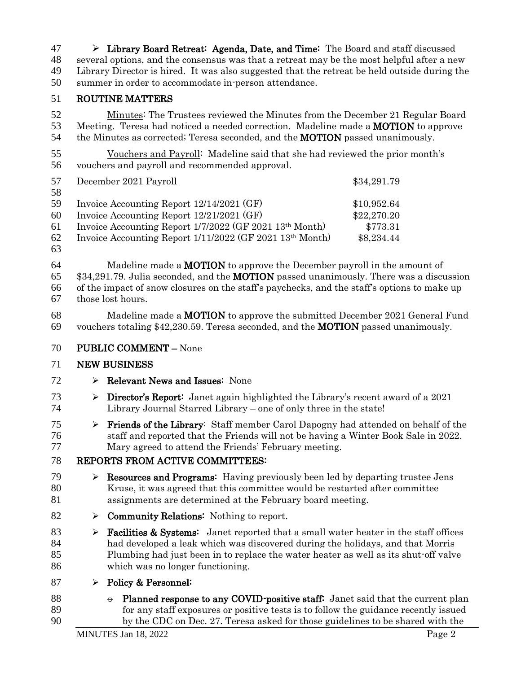$47 \rightarrow$  Library Board Retreat: Agenda, Date, and Time: The Board and staff discussed several options, and the consensus was that a retreat may be the most helpful after a new Library Director is hired. It was also suggested that the retreat be held outside during the summer in order to accommodate in-person attendance.

## ROUTINE MATTERS

 Minutes: The Trustees reviewed the Minutes from the December 21 Regular Board Meeting. Teresa had noticed a needed correction. Madeline made a MOTION to approve 54 the Minutes as corrected; Teresa seconded, and the **MOTION** passed unanimously.

 Vouchers and Payroll: Madeline said that she had reviewed the prior month's vouchers and payroll and recommended approval.

| December 2021 Payroll                                    | \$34,291.79 |
|----------------------------------------------------------|-------------|
|                                                          |             |
| Invoice Accounting Report 12/14/2021 (GF)                | \$10,952.64 |
| Invoice Accounting Report 12/21/2021 (GF)                | \$22,270.20 |
| Invoice Accounting Report 1/7/2022 (GF 2021 13th Month)  | \$773.31    |
| Invoice Accounting Report 1/11/2022 (GF 2021 13th Month) | \$8,234.44  |
|                                                          |             |

64 Madeline made a **MOTION** to approve the December payroll in the amount of 65 \$34,291.79. Julia seconded, and the **MOTION** passed unanimously. There was a discussion of the impact of snow closures on the staff's paychecks, and the staff's options to make up those lost hours.

 Madeline made a MOTION to approve the submitted December 2021 General Fund vouchers totaling \$42,230.59. Teresa seconded, and the MOTION passed unanimously.

PUBLIC COMMENT – None

## NEW BUSINESS

- $72 \rightarrow$  Relevant News and Issues: None
- 73  $\triangleright$  **Director's Report:** Janet again highlighted the Library's recent award of a 2021 Library Journal Starred Library – one of only three in the state!
- $\triangleright$  **Friends of the Library:** Staff member Carol Dapogny had attended on behalf of the staff and reported that the Friends will not be having a Winter Book Sale in 2022. Mary agreed to attend the Friends' February meeting.

## REPORTS FROM ACTIVE COMMITTEES:

- 79  $\triangleright$  **Resources and Programs:** Having previously been led by departing trustee Jens Kruse, it was agreed that this committee would be restarted after committee assignments are determined at the February board meeting.
- 82  $\rightarrow$  **Community Relations:** Nothing to report.
- **Facilities & Systems:** Janet reported that a small water heater in the staff offices had developed a leak which was discovered during the holidays, and that Morris Plumbing had just been in to replace the water heater as well as its shut-off valve which was no longer functioning.
- 87  $\triangleright$  Policy & Personnel:
- 88  $\leftrightarrow$  Planned response to any COVID-positive staff: Janet said that the current plan for any staff exposures or positive tests is to follow the guidance recently issued by the CDC on Dec. 27. Teresa asked for those guidelines to be shared with the